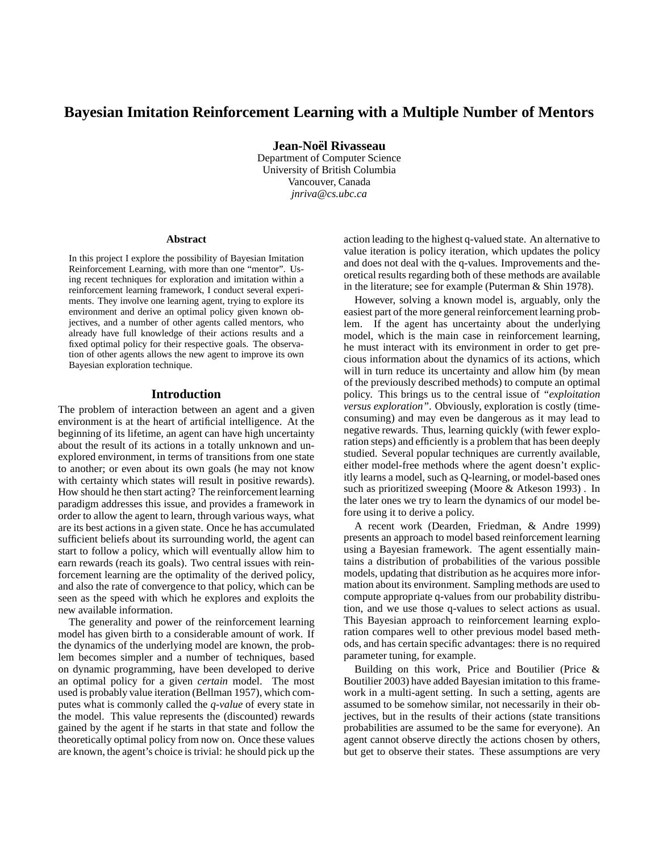# **Bayesian Imitation Reinforcement Learning with a Multiple Number of Mentors**

**Jean-Noel¨ Rivasseau**

Department of Computer Science University of British Columbia Vancouver, Canada *jnriva@cs.ubc.ca*

#### **Abstract**

In this project I explore the possibility of Bayesian Imitation Reinforcement Learning, with more than one "mentor". Using recent techniques for exploration and imitation within a reinforcement learning framework, I conduct several experiments. They involve one learning agent, trying to explore its environment and derive an optimal policy given known objectives, and a number of other agents called mentors, who already have full knowledge of their actions results and a fixed optimal policy for their respective goals. The observation of other agents allows the new agent to improve its own Bayesian exploration technique.

### **Introduction**

The problem of interaction between an agent and a given environment is at the heart of artificial intelligence. At the beginning of its lifetime, an agent can have high uncertainty about the result of its actions in a totally unknown and unexplored environment, in terms of transitions from one state to another; or even about its own goals (he may not know with certainty which states will result in positive rewards). How should he then start acting? The reinforcement learning paradigm addresses this issue, and provides a framework in order to allow the agent to learn, through various ways, what are its best actions in a given state. Once he has accumulated sufficient beliefs about its surrounding world, the agent can start to follow a policy, which will eventually allow him to earn rewards (reach its goals). Two central issues with reinforcement learning are the optimality of the derived policy, and also the rate of convergence to that policy, which can be seen as the speed with which he explores and exploits the new available information.

The generality and power of the reinforcement learning model has given birth to a considerable amount of work. If the dynamics of the underlying model are known, the problem becomes simpler and a number of techniques, based on dynamic programming, have been developed to derive an optimal policy for a given *certain* model. The most used is probably value iteration (Bellman 1957), which computes what is commonly called the *q-value* of every state in the model. This value represents the (discounted) rewards gained by the agent if he starts in that state and follow the theoretically optimal policy from now on. Once these values are known, the agent's choice is trivial: he should pick up the

action leading to the highest q-valued state. An alternative to value iteration is policy iteration, which updates the policy and does not deal with the q-values. Improvements and theoretical results regarding both of these methods are available in the literature; see for example (Puterman & Shin 1978).

However, solving a known model is, arguably, only the easiest part of the more general reinforcement learning problem. If the agent has uncertainty about the underlying model, which is the main case in reinforcement learning, he must interact with its environment in order to get precious information about the dynamics of its actions, which will in turn reduce its uncertainty and allow him (by mean of the previously described methods) to compute an optimal policy. This brings us to the central issue of *"exploitation versus exploration"*. Obviously, exploration is costly (timeconsuming) and may even be dangerous as it may lead to negative rewards. Thus, learning quickly (with fewer exploration steps) and efficiently is a problem that has been deeply studied. Several popular techniques are currently available, either model-free methods where the agent doesn't explicitly learns a model, such as Q-learning, or model-based ones such as prioritized sweeping (Moore & Atkeson 1993) . In the later ones we try to learn the dynamics of our model before using it to derive a policy.

A recent work (Dearden, Friedman, & Andre 1999) presents an approach to model based reinforcement learning using a Bayesian framework. The agent essentially maintains a distribution of probabilities of the various possible models, updating that distribution as he acquires more information about its environment. Sampling methods are used to compute appropriate q-values from our probability distribution, and we use those q-values to select actions as usual. This Bayesian approach to reinforcement learning exploration compares well to other previous model based methods, and has certain specific advantages: there is no required parameter tuning, for example.

Building on this work, Price and Boutilier (Price & Boutilier 2003) have added Bayesian imitation to this framework in a multi-agent setting. In such a setting, agents are assumed to be somehow similar, not necessarily in their objectives, but in the results of their actions (state transitions probabilities are assumed to be the same for everyone). An agent cannot observe directly the actions chosen by others, but get to observe their states. These assumptions are very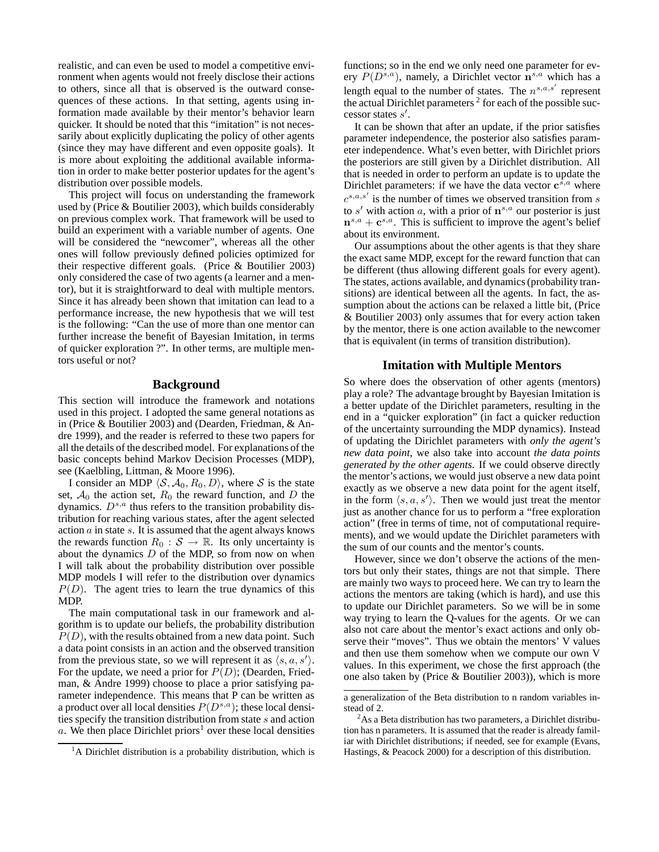realistic, and can even be used to model a competitive environment when agents would not freely disclose their actions to others, since all that is observed is the outward consequences of these actions. In that setting, agents using information made available by their mentor's behavior learn quicker. It should be noted that this "imitation" is not necessarily about explicitly duplicating the policy of other agents (since they may have different and even opposite goals). It is more about exploiting the additional available information in order to make better posterior updates for the agent's distribution over possible models.

This project will focus on understanding the framework used by (Price & Boutilier 2003), which builds considerably on previous complex work. That framework will be used to build an experiment with a variable number of agents. One will be considered the "newcomer", whereas all the other ones will follow previously defined policies optimized for their respective different goals. (Price & Boutilier 2003) only considered the case of two agents (a learner and a mentor), but it is straightforward to deal with multiple mentors. Since it has already been shown that imitation can lead to a performance increase, the new hypothesis that we will test is the following: "Can the use of more than one mentor can further increase the benefit of Bayesian Imitation, in terms of quicker exploration ?". In other terms, are multiple mentors useful or not?

### **Background**

This section will introduce the framework and notations used in this project. I adopted the same general notations as in (Price & Boutilier 2003) and (Dearden, Friedman, & Andre 1999), and the reader is referred to these two papers for all the details of the described model. For explanations of the basic concepts behind Markov Decision Processes (MDP), see (Kaelbling, Littman, & Moore 1996).

I consider an MDP  $\langle S, A_0, R_0, D \rangle$ , where S is the state set,  $A_0$  the action set,  $R_0$  the reward function, and D the dynamics.  $D^{s,a}$  thus refers to the transition probability distribution for reaching various states, after the agent selected action  $a$  in state  $s$ . It is assumed that the agent always knows the rewards function  $R_0 : S \to \mathbb{R}$ . Its only uncertainty is about the dynamics  $D$  of the MDP, so from now on when I will talk about the probability distribution over possible MDP models I will refer to the distribution over dynamics  $P(D)$ . The agent tries to learn the true dynamics of this MDP.

The main computational task in our framework and algorithm is to update our beliefs, the probability distribution  $P(D)$ , with the results obtained from a new data point. Such a data point consists in an action and the observed transition from the previous state, so we will represent it as  $\langle s, a, s' \rangle$ . For the update, we need a prior for  $P(D)$ ; (Dearden, Friedman, & Andre 1999) choose to place a prior satisfying parameter independence. This means that P can be written as a product over all local densities  $P(D^{s,a})$ ; these local densities specify the transition distribution from state s and action a. We then place Dirichlet priors<sup>1</sup> over these local densities functions; so in the end we only need one parameter for every  $P(D^{s,a})$ , namely, a Dirichlet vector  $\mathbf{n}^{s,a}$  which has a length equal to the number of states. The  $n^{s,a,s'}$  represent the actual Dirichlet parameters  $2$  for each of the possible successor states  $s'$ .

It can be shown that after an update, if the prior satisfies parameter independence, the posterior also satisfies parameter independence. What's even better, with Dirichlet priors the posteriors are still given by a Dirichlet distribution. All that is needed in order to perform an update is to update the Dirichlet parameters: if we have the data vector  $\mathbf{c}^{s,a}$  where  $c^{s,a,s'}$  is the number of times we observed transition from s to  $s'$  with action a, with a prior of  $\mathbf{n}^{s,a}$  our posterior is just  $\mathbf{n}^{s,a} + \mathbf{c}^{s,a}$ . This is sufficient to improve the agent's belief about its environment.

Our assumptions about the other agents is that they share the exact same MDP, except for the reward function that can be different (thus allowing different goals for every agent). The states, actions available, and dynamics(probability transitions) are identical between all the agents. In fact, the assumption about the actions can be relaxed a little bit, (Price & Boutilier 2003) only assumes that for every action taken by the mentor, there is one action available to the newcomer that is equivalent (in terms of transition distribution).

# **Imitation with Multiple Mentors**

So where does the observation of other agents (mentors) play a role? The advantage brought by Bayesian Imitation is a better update of the Dirichlet parameters, resulting in the end in a "quicker exploration" (in fact a quicker reduction of the uncertainty surrounding the MDP dynamics). Instead of updating the Dirichlet parameters with *only the agent's new data point*, we also take into account *the data points generated by the other agents*. If we could observe directly the mentor's actions, we would just observe a new data point exactly as we observe a new data point for the agent itself, in the form  $\langle s, a, s' \rangle$ . Then we would just treat the mentor just as another chance for us to perform a "free exploration" action" (free in terms of time, not of computational requirements), and we would update the Dirichlet parameters with the sum of our counts and the mentor's counts.

However, since we don't observe the actions of the mentors but only their states, things are not that simple. There are mainly two ways to proceed here. We can try to learn the actions the mentors are taking (which is hard), and use this to update our Dirichlet parameters. So we will be in some way trying to learn the Q-values for the agents. Or we can also not care about the mentor's exact actions and only observe their "moves". Thus we obtain the mentors' V values and then use them somehow when we compute our own V values. In this experiment, we chose the first approach (the one also taken by (Price & Boutilier 2003)), which is more

<sup>&</sup>lt;sup>1</sup>A Dirichlet distribution is a probability distribution, which is

a generalization of the Beta distribution to n random variables instead of 2.

 $2As$  a Beta distribution has two parameters, a Dirichlet distribution has n parameters. It is assumed that the reader is already familiar with Dirichlet distributions; if needed, see for example (Evans, Hastings, & Peacock 2000) for a description of this distribution.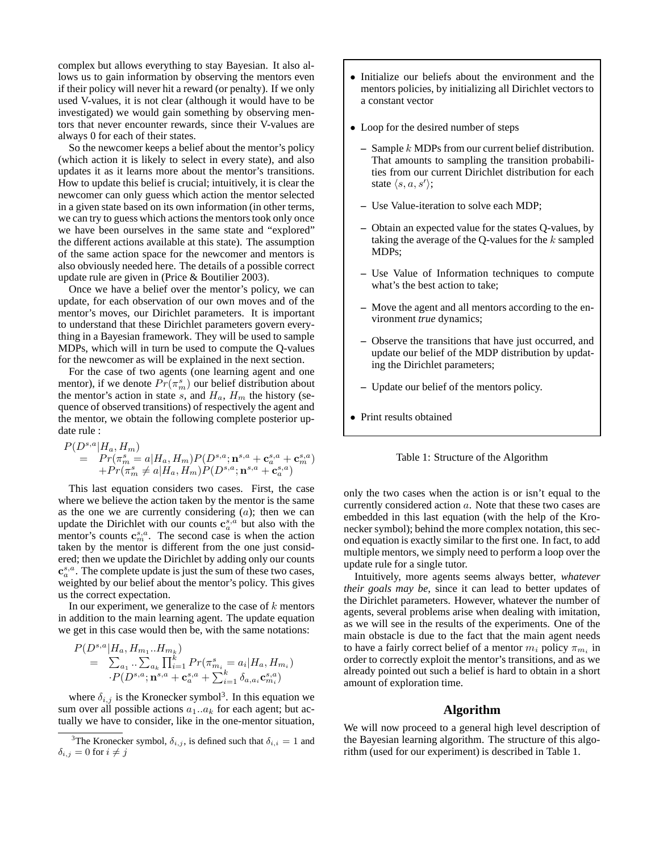complex but allows everything to stay Bayesian. It also allows us to gain information by observing the mentors even if their policy will never hit a reward (or penalty). If we only used V-values, it is not clear (although it would have to be investigated) we would gain something by observing mentors that never encounter rewards, since their V-values are always 0 for each of their states.

So the newcomer keeps a belief about the mentor's policy (which action it is likely to select in every state), and also updates it as it learns more about the mentor's transitions. How to update this belief is crucial; intuitively, it is clear the newcomer can only guess which action the mentor selected in a given state based on its own information (in other terms, we can try to guess which actions the mentors took only once we have been ourselves in the same state and "explored" the different actions available at this state). The assumption of the same action space for the newcomer and mentors is also obviously needed here. The details of a possible correct update rule are given in (Price & Boutilier 2003).

Once we have a belief over the mentor's policy, we can update, for each observation of our own moves and of the mentor's moves, our Dirichlet parameters. It is important to understand that these Dirichlet parameters govern everything in a Bayesian framework. They will be used to sample MDPs, which will in turn be used to compute the Q-values for the newcomer as will be explained in the next section.

For the case of two agents (one learning agent and one mentor), if we denote  $Pr(\pi_m^s)$  our belief distribution about the mentor's action in state s, and  $H_a$ ,  $H_m$  the history (sequence of observed transitions) of respectively the agent and the mentor, we obtain the following complete posterior update rule :

$$
\begin{array}{lll} P(D^{s,a}|H_a,H_m) \\ = & Pr(\pi^s_m = a|H_a,H_m)P(D^{s,a};{\mathbf n}^{s,a}+{\mathbf c}^{s,a}_a+{\mathbf c}^{s,a}_m) \\ & & + Pr(\pi^s_m \neq a|H_a,H_m)P(D^{s,a};{\mathbf n}^{s,a}+{\mathbf c}^{s,a}_a) \end{array}
$$

This last equation considers two cases. First, the case where we believe the action taken by the mentor is the same as the one we are currently considering  $(a)$ ; then we can update the Dirichlet with our counts  $c_a^{s,a}$  but also with the mentor's counts  $\mathbf{c}_m^{s,a}$ . The second case is when the action taken by the mentor is different from the one just considered; then we update the Dirichlet by adding only our counts  $\mathbf{c}_a^{s,a}$ . The complete update is just the sum of these two cases, weighted by our belief about the mentor's policy. This gives us the correct expectation.

In our experiment, we generalize to the case of  $k$  mentors in addition to the main learning agent. The update equation we get in this case would then be, with the same notations:

$$
P(D^{s,a}|H_a, H_{m_1}...H_{m_k})
$$
  
=  $\sum_{a_1} \sum_{a_k} \prod_{i=1}^k Pr(\pi_{m_i}^s = a_i|H_a, H_{m_i})$   
 $\cdot P(D^{s,a}; \mathbf{n}^{s,a} + \mathbf{c}_a^{s,a} + \sum_{i=1}^k \delta_{a,a_i} \mathbf{c}_{m_i}^{s,a})$ 

where  $\delta_{i,j}$  is the Kronecker symbol<sup>3</sup>. In this equation we sum over all possible actions  $a_1 \dots a_k$  for each agent; but actually we have to consider, like in the one-mentor situation,

- Initialize our beliefs about the environment and the mentors policies, by initializing all Dirichlet vectors to a constant vector
- Loop for the desired number of steps
	- **–** Sample k MDPs from our current belief distribution. That amounts to sampling the transition probabilities from our current Dirichlet distribution for each state  $\langle s, a, s' \rangle$ ;
	- **–** Use Value-iteration to solve each MDP;
	- **–** Obtain an expected value for the states Q-values, by taking the average of the Q-values for the  $k$  sampled MDPs;
	- **–** Use Value of Information techniques to compute what's the best action to take;
	- **–** Move the agent and all mentors according to the environment *true* dynamics;
	- **–** Observe the transitions that have just occurred, and update our belief of the MDP distribution by updating the Dirichlet parameters;
	- **–** Update our belief of the mentors policy.
- Print results obtained



only the two cases when the action is or isn't equal to the currently considered action a. Note that these two cases are embedded in this last equation (with the help of the Kronecker symbol); behind the more complex notation, this second equation is exactly similar to the first one. In fact, to add multiple mentors, we simply need to perform a loop over the update rule for a single tutor.

Intuitively, more agents seems always better, *whatever their goals may be*, since it can lead to better updates of the Dirichlet parameters. However, whatever the number of agents, several problems arise when dealing with imitation, as we will see in the results of the experiments. One of the main obstacle is due to the fact that the main agent needs to have a fairly correct belief of a mentor  $m_i$  policy  $\pi_{m_i}$  in order to correctly exploit the mentor's transitions, and as we already pointed out such a belief is hard to obtain in a short amount of exploration time.

# **Algorithm**

We will now proceed to a general high level description of the Bayesian learning algorithm. The structure of this algorithm (used for our experiment) is described in Table 1.

<sup>&</sup>lt;sup>3</sup>The Kronecker symbol,  $\delta_{i,j}$ , is defined such that  $\delta_{i,i} = 1$  and  $\delta_{i,j} = 0$  for  $i \neq j$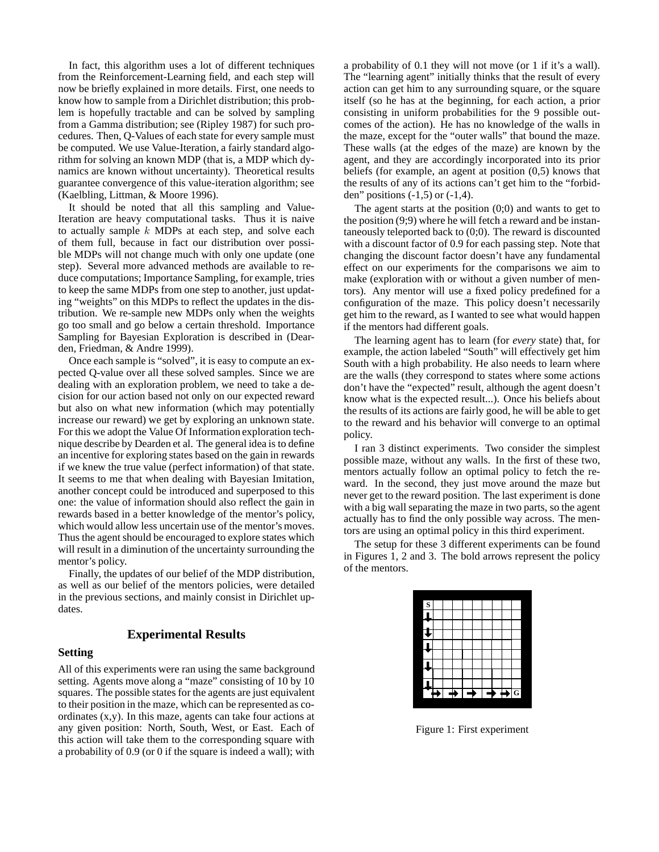In fact, this algorithm uses a lot of different techniques from the Reinforcement-Learning field, and each step will now be briefly explained in more details. First, one needs to know how to sample from a Dirichlet distribution; this problem is hopefully tractable and can be solved by sampling from a Gamma distribution; see (Ripley 1987) for such procedures. Then, Q-Values of each state for every sample must be computed. We use Value-Iteration, a fairly standard algorithm for solving an known MDP (that is, a MDP which dynamics are known without uncertainty). Theoretical results guarantee convergence of this value-iteration algorithm; see (Kaelbling, Littman, & Moore 1996).

It should be noted that all this sampling and Value-Iteration are heavy computational tasks. Thus it is naive to actually sample  $k$  MDPs at each step, and solve each of them full, because in fact our distribution over possible MDPs will not change much with only one update (one step). Several more advanced methods are available to reduce computations; Importance Sampling, for example, tries to keep the same MDPs from one step to another, just updating "weights" on this MDPs to reflect the updates in the distribution. We re-sample new MDPs only when the weights go too small and go below a certain threshold. Importance Sampling for Bayesian Exploration is described in (Dearden, Friedman, & Andre 1999).

Once each sample is "solved", it is easy to compute an expected Q-value over all these solved samples. Since we are dealing with an exploration problem, we need to take a decision for our action based not only on our expected reward but also on what new information (which may potentially increase our reward) we get by exploring an unknown state. For this we adopt the Value Of Information exploration technique describe by Dearden et al. The general idea is to define an incentive for exploring states based on the gain in rewards if we knew the true value (perfect information) of that state. It seems to me that when dealing with Bayesian Imitation, another concept could be introduced and superposed to this one: the value of information should also reflect the gain in rewards based in a better knowledge of the mentor's policy, which would allow less uncertain use of the mentor's moves. Thus the agent should be encouraged to explore states which will result in a diminution of the uncertainty surrounding the mentor's policy.

Finally, the updates of our belief of the MDP distribution, as well as our belief of the mentors policies, were detailed in the previous sections, and mainly consist in Dirichlet updates.

# **Experimental Results**

#### **Setting**

All of this experiments were ran using the same background setting. Agents move along a "maze" consisting of 10 by 10 squares. The possible states for the agents are just equivalent to their position in the maze, which can be represented as coordinates (x,y). In this maze, agents can take four actions at any given position: North, South, West, or East. Each of this action will take them to the corresponding square with a probability of 0.9 (or 0 if the square is indeed a wall); with a probability of 0.1 they will not move (or 1 if it's a wall). The "learning agent" initially thinks that the result of every action can get him to any surrounding square, or the square itself (so he has at the beginning, for each action, a prior consisting in uniform probabilities for the 9 possible outcomes of the action). He has no knowledge of the walls in the maze, except for the "outer walls" that bound the maze. These walls (at the edges of the maze) are known by the agent, and they are accordingly incorporated into its prior beliefs (for example, an agent at position (0,5) knows that the results of any of its actions can't get him to the "forbidden" positions  $(-1,5)$  or  $(-1,4)$ .

The agent starts at the position  $(0,0)$  and wants to get to the position (9;9) where he will fetch a reward and be instantaneously teleported back to (0;0). The reward is discounted with a discount factor of 0.9 for each passing step. Note that changing the discount factor doesn't have any fundamental effect on our experiments for the comparisons we aim to make (exploration with or without a given number of mentors). Any mentor will use a fixed policy predefined for a configuration of the maze. This policy doesn't necessarily get him to the reward, as I wanted to see what would happen if the mentors had different goals.

The learning agent has to learn (for *every* state) that, for example, the action labeled "South" will effectively get him South with a high probability. He also needs to learn where are the walls (they correspond to states where some actions don't have the "expected" result, although the agent doesn't know what is the expected result...). Once his beliefs about the results of its actions are fairly good, he will be able to get to the reward and his behavior will converge to an optimal policy.

I ran 3 distinct experiments. Two consider the simplest possible maze, without any walls. In the first of these two, mentors actually follow an optimal policy to fetch the reward. In the second, they just move around the maze but never get to the reward position. The last experiment is done with a big wall separating the maze in two parts, so the agent actually has to find the only possible way across. The mentors are using an optimal policy in this third experiment.

The setup for these 3 different experiments can be found in Figures 1, 2 and 3. The bold arrows represent the policy of the mentors.



Figure 1: First experiment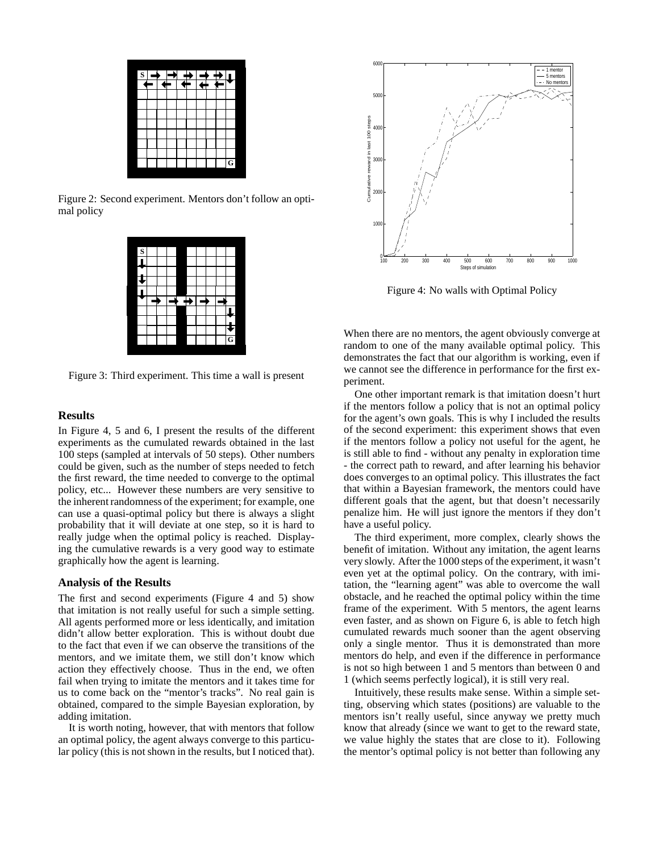

Figure 2: Second experiment. Mentors don't follow an optimal policy



Figure 3: Third experiment. This time a wall is present

# **Results**

In Figure 4, 5 and 6, I present the results of the different experiments as the cumulated rewards obtained in the last 100 steps (sampled at intervals of 50 steps). Other numbers could be given, such as the number of steps needed to fetch the first reward, the time needed to converge to the optimal policy, etc... However these numbers are very sensitive to the inherent randomness of the experiment; for example, one can use a quasi-optimal policy but there is always a slight probability that it will deviate at one step, so it is hard to really judge when the optimal policy is reached. Displaying the cumulative rewards is a very good way to estimate graphically how the agent is learning.

#### **Analysis of the Results**

The first and second experiments (Figure 4 and 5) show that imitation is not really useful for such a simple setting. All agents performed more or less identically, and imitation didn't allow better exploration. This is without doubt due to the fact that even if we can observe the transitions of the mentors, and we imitate them, we still don't know which action they effectively choose. Thus in the end, we often fail when trying to imitate the mentors and it takes time for us to come back on the "mentor's tracks". No real gain is obtained, compared to the simple Bayesian exploration, by adding imitation.

It is worth noting, however, that with mentors that follow an optimal policy, the agent always converge to this particular policy (this is not shown in the results, but I noticed that).



Figure 4: No walls with Optimal Policy

When there are no mentors, the agent obviously converge at random to one of the many available optimal policy. This demonstrates the fact that our algorithm is working, even if we cannot see the difference in performance for the first experiment.

One other important remark is that imitation doesn't hurt if the mentors follow a policy that is not an optimal policy for the agent's own goals. This is why I included the results of the second experiment: this experiment shows that even if the mentors follow a policy not useful for the agent, he is still able to find - without any penalty in exploration time - the correct path to reward, and after learning his behavior does converges to an optimal policy. This illustrates the fact that within a Bayesian framework, the mentors could have different goals that the agent, but that doesn't necessarily penalize him. He will just ignore the mentors if they don't have a useful policy.

The third experiment, more complex, clearly shows the benefit of imitation. Without any imitation, the agent learns very slowly. After the 1000 steps of the experiment, it wasn't even yet at the optimal policy. On the contrary, with imitation, the "learning agent" was able to overcome the wall obstacle, and he reached the optimal policy within the time frame of the experiment. With 5 mentors, the agent learns even faster, and as shown on Figure 6, is able to fetch high cumulated rewards much sooner than the agent observing only a single mentor. Thus it is demonstrated than more mentors do help, and even if the difference in performance is not so high between 1 and 5 mentors than between 0 and 1 (which seems perfectly logical), it is still very real.

Intuitively, these results make sense. Within a simple setting, observing which states (positions) are valuable to the mentors isn't really useful, since anyway we pretty much know that already (since we want to get to the reward state, we value highly the states that are close to it). Following the mentor's optimal policy is not better than following any